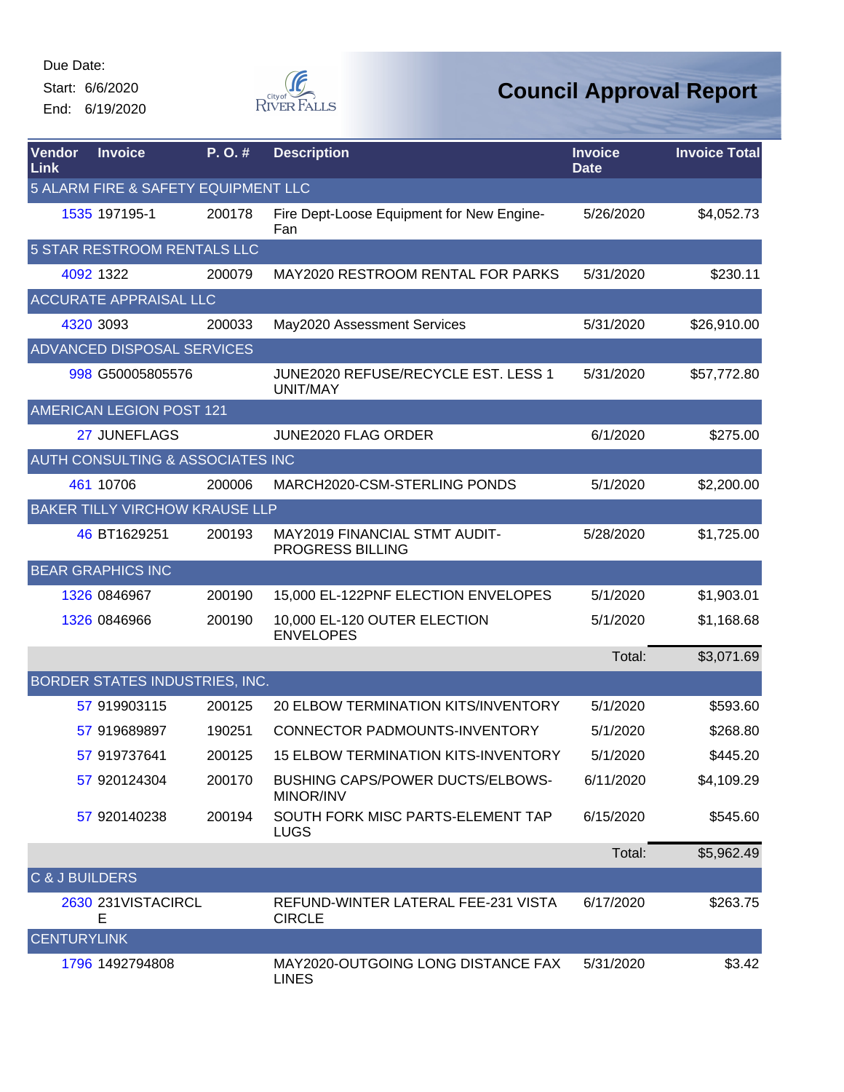Start: 6/6/2020

End: 6/19/2020



| Vendor<br>Link     | <b>Invoice</b>                              | P.O.#  | <b>Description</b>                                   | <b>Invoice</b><br><b>Date</b> | <b>Invoice Total</b> |
|--------------------|---------------------------------------------|--------|------------------------------------------------------|-------------------------------|----------------------|
|                    | 5 ALARM FIRE & SAFETY EQUIPMENT LLC         |        |                                                      |                               |                      |
|                    | 1535 197195-1                               | 200178 | Fire Dept-Loose Equipment for New Engine-<br>Fan     | 5/26/2020                     | \$4,052.73           |
|                    | 5 STAR RESTROOM RENTALS LLC                 |        |                                                      |                               |                      |
|                    | 4092 1322                                   | 200079 | MAY2020 RESTROOM RENTAL FOR PARKS                    | 5/31/2020                     | \$230.11             |
|                    | <b>ACCURATE APPRAISAL LLC</b>               |        |                                                      |                               |                      |
|                    | 4320 3093                                   | 200033 | May2020 Assessment Services                          | 5/31/2020                     | \$26,910.00          |
|                    | ADVANCED DISPOSAL SERVICES                  |        |                                                      |                               |                      |
|                    | 998 G50005805576                            |        | JUNE2020 REFUSE/RECYCLE EST. LESS 1<br>UNIT/MAY      | 5/31/2020                     | \$57,772.80          |
|                    | AMERICAN LEGION POST 121                    |        |                                                      |                               |                      |
|                    | 27 JUNEFLAGS                                |        | JUNE2020 FLAG ORDER                                  | 6/1/2020                      | \$275.00             |
|                    | <b>AUTH CONSULTING &amp; ASSOCIATES INC</b> |        |                                                      |                               |                      |
|                    | 461 10706                                   | 200006 | MARCH2020-CSM-STERLING PONDS                         | 5/1/2020                      | \$2,200.00           |
|                    | <b>BAKER TILLY VIRCHOW KRAUSE LLP</b>       |        |                                                      |                               |                      |
|                    | 46 BT1629251                                | 200193 | MAY2019 FINANCIAL STMT AUDIT-<br>PROGRESS BILLING    | 5/28/2020                     | \$1,725.00           |
|                    | <b>BEAR GRAPHICS INC</b>                    |        |                                                      |                               |                      |
|                    | 1326 0846967                                | 200190 | 15,000 EL-122PNF ELECTION ENVELOPES                  | 5/1/2020                      | \$1,903.01           |
|                    | 1326 0846966                                | 200190 | 10,000 EL-120 OUTER ELECTION<br><b>ENVELOPES</b>     | 5/1/2020                      | \$1,168.68           |
|                    |                                             |        |                                                      | Total:                        | \$3,071.69           |
|                    | BORDER STATES INDUSTRIES, INC.              |        |                                                      |                               |                      |
|                    | 57 919903115                                | 200125 | <b>20 ELBOW TERMINATION KITS/INVENTORY</b>           | 5/1/2020                      | \$593.60             |
|                    | 57 919689897                                | 190251 | <b>CONNECTOR PADMOUNTS-INVENTORY</b>                 | 5/1/2020                      | \$268.80             |
|                    | 57 919737641                                | 200125 | <b>15 ELBOW TERMINATION KITS-INVENTORY</b>           | 5/1/2020                      | \$445.20             |
|                    | 57 920124304                                | 200170 | <b>BUSHING CAPS/POWER DUCTS/ELBOWS-</b><br>MINOR/INV | 6/11/2020                     | \$4,109.29           |
|                    | 57 920140238                                | 200194 | SOUTH FORK MISC PARTS-ELEMENT TAP<br><b>LUGS</b>     | 6/15/2020                     | \$545.60             |
|                    |                                             |        |                                                      | Total:                        | \$5,962.49           |
| C & J BUILDERS     |                                             |        |                                                      |                               |                      |
|                    | 2630 231VISTACIRCL<br>E                     |        | REFUND-WINTER LATERAL FEE-231 VISTA<br><b>CIRCLE</b> | 6/17/2020                     | \$263.75             |
| <b>CENTURYLINK</b> |                                             |        |                                                      |                               |                      |
|                    | 1796 1492794808                             |        | MAY2020-OUTGOING LONG DISTANCE FAX<br><b>LINES</b>   | 5/31/2020                     | \$3.42               |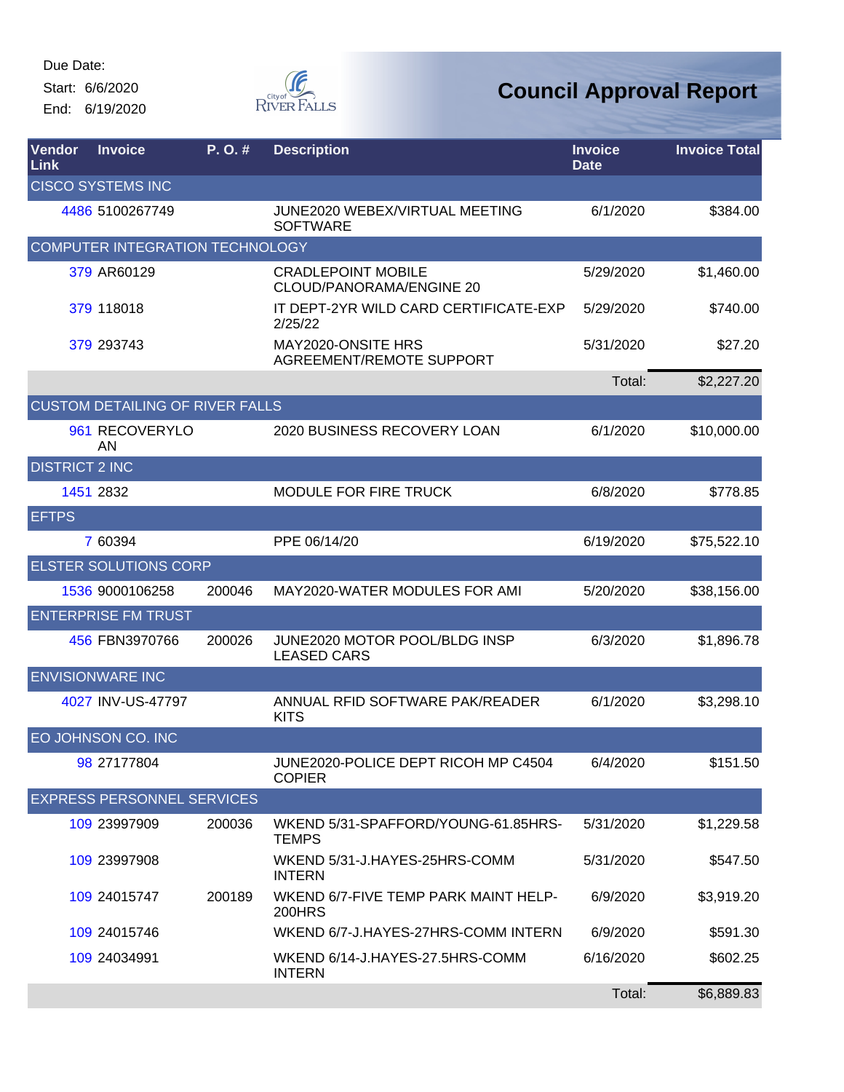Start: 6/6/2020 End: 6/19/2020



| <b>Vendor</b><br>Link | <b>Invoice</b>                         | P.O.#  | <b>Description</b>                                    | <b>Invoice</b><br><b>Date</b> | <b>Invoice Total</b> |
|-----------------------|----------------------------------------|--------|-------------------------------------------------------|-------------------------------|----------------------|
|                       | <b>CISCO SYSTEMS INC</b>               |        |                                                       |                               |                      |
|                       | 4486 5100267749                        |        | JUNE2020 WEBEX/VIRTUAL MEETING<br><b>SOFTWARE</b>     | 6/1/2020                      | \$384.00             |
|                       | COMPUTER INTEGRATION TECHNOLOGY        |        |                                                       |                               |                      |
|                       | 379 AR60129                            |        | <b>CRADLEPOINT MOBILE</b><br>CLOUD/PANORAMA/ENGINE 20 | 5/29/2020                     | \$1,460.00           |
|                       | 379 118018                             |        | IT DEPT-2YR WILD CARD CERTIFICATE-EXP<br>2/25/22      | 5/29/2020                     | \$740.00             |
|                       | 379 293743                             |        | MAY2020-ONSITE HRS<br><b>AGREEMENT/REMOTE SUPPORT</b> | 5/31/2020                     | \$27.20              |
|                       |                                        |        |                                                       | Total:                        | \$2,227.20           |
|                       | <b>CUSTOM DETAILING OF RIVER FALLS</b> |        |                                                       |                               |                      |
|                       | 961 RECOVERYLO<br>AN                   |        | 2020 BUSINESS RECOVERY LOAN                           | 6/1/2020                      | \$10,000.00          |
| <b>DISTRICT 2 INC</b> |                                        |        |                                                       |                               |                      |
|                       | 1451 2832                              |        | <b>MODULE FOR FIRE TRUCK</b>                          | 6/8/2020                      | \$778.85             |
| <b>EFTPS</b>          |                                        |        |                                                       |                               |                      |
|                       | 7 60394                                |        | PPE 06/14/20                                          | 6/19/2020                     | \$75,522.10          |
|                       | <b>ELSTER SOLUTIONS CORP</b>           |        |                                                       |                               |                      |
|                       | 1536 9000106258                        | 200046 | MAY2020-WATER MODULES FOR AMI                         | 5/20/2020                     | \$38,156.00          |
|                       | <b>ENTERPRISE FM TRUST</b>             |        |                                                       |                               |                      |
|                       | 456 FBN3970766                         | 200026 | JUNE2020 MOTOR POOL/BLDG INSP<br><b>LEASED CARS</b>   | 6/3/2020                      | \$1,896.78           |
|                       | <b>ENVISIONWARE INC</b>                |        |                                                       |                               |                      |
|                       | 4027 INV-US-47797                      |        | ANNUAL RFID SOFTWARE PAK/READER<br><b>KITS</b>        | 6/1/2020                      | \$3,298.10           |
|                       | EO JOHNSON CO. INC                     |        |                                                       |                               |                      |
|                       | 98 27177804                            |        | JUNE2020-POLICE DEPT RICOH MP C4504<br><b>COPIER</b>  | 6/4/2020                      | \$151.50             |
|                       | <b>EXPRESS PERSONNEL SERVICES</b>      |        |                                                       |                               |                      |
|                       | 109 23997909                           | 200036 | WKEND 5/31-SPAFFORD/YOUNG-61.85HRS-<br><b>TEMPS</b>   | 5/31/2020                     | \$1,229.58           |
|                       | 109 23997908                           |        | WKEND 5/31-J.HAYES-25HRS-COMM<br><b>INTERN</b>        | 5/31/2020                     | \$547.50             |
|                       | 109 24015747                           | 200189 | WKEND 6/7-FIVE TEMP PARK MAINT HELP-<br><b>200HRS</b> | 6/9/2020                      | \$3,919.20           |
|                       | 109 24015746                           |        | WKEND 6/7-J.HAYES-27HRS-COMM INTERN                   | 6/9/2020                      | \$591.30             |
|                       | 109 24034991                           |        | WKEND 6/14-J.HAYES-27.5HRS-COMM<br><b>INTERN</b>      | 6/16/2020                     | \$602.25             |
|                       |                                        |        |                                                       | Total:                        | \$6,889.83           |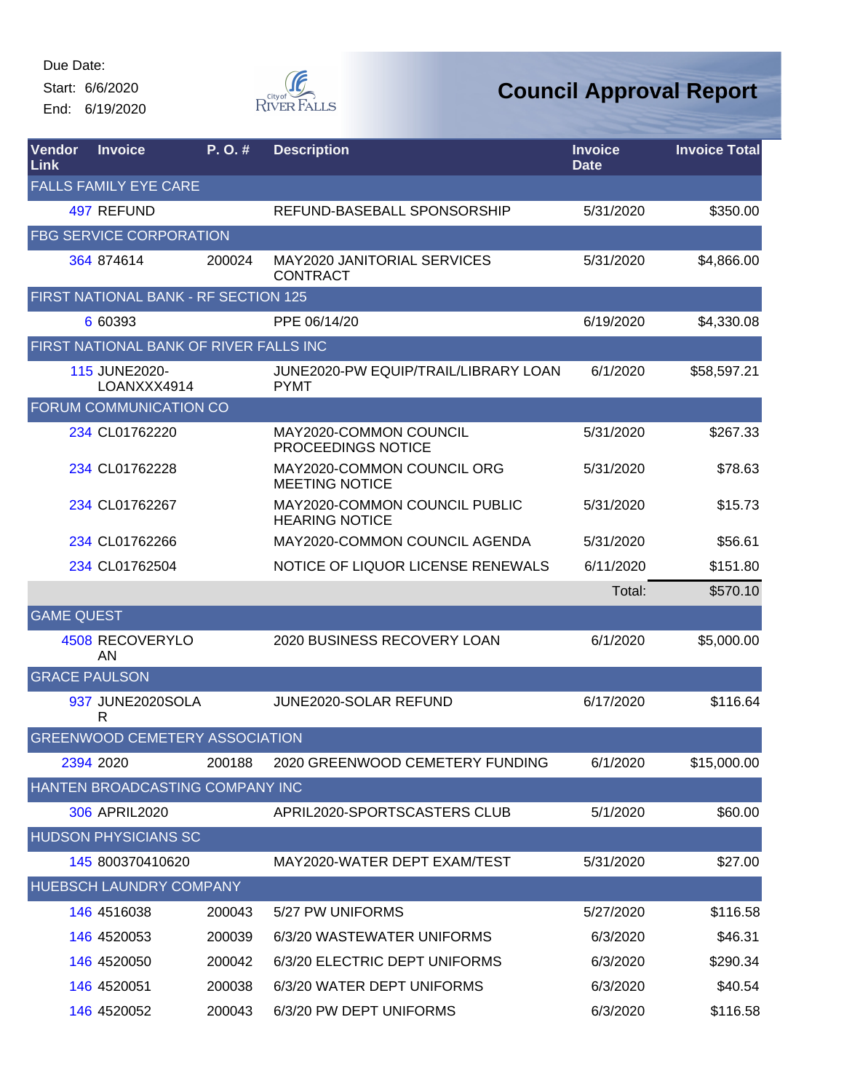Start: 6/6/2020

End: 6/19/2020



| Vendor<br>Link       | <b>Invoice</b>                         | P. O. # | <b>Description</b>                                     | <b>Invoice</b><br><b>Date</b> | <b>Invoice Total</b> |
|----------------------|----------------------------------------|---------|--------------------------------------------------------|-------------------------------|----------------------|
|                      | <b>FALLS FAMILY EYE CARE</b>           |         |                                                        |                               |                      |
|                      | 497 REFUND                             |         | REFUND-BASEBALL SPONSORSHIP                            | 5/31/2020                     | \$350.00             |
|                      | <b>FBG SERVICE CORPORATION</b>         |         |                                                        |                               |                      |
|                      | 364 874614                             | 200024  | <b>MAY2020 JANITORIAL SERVICES</b><br><b>CONTRACT</b>  | 5/31/2020                     | \$4,866.00           |
|                      | FIRST NATIONAL BANK - RF SECTION 125   |         |                                                        |                               |                      |
|                      | 6 60393                                |         | PPE 06/14/20                                           | 6/19/2020                     | \$4,330.08           |
|                      | FIRST NATIONAL BANK OF RIVER FALLS INC |         |                                                        |                               |                      |
|                      | 115 JUNE2020-<br>LOANXXX4914           |         | JUNE2020-PW EQUIP/TRAIL/LIBRARY LOAN<br><b>PYMT</b>    | 6/1/2020                      | \$58,597.21          |
|                      | FORUM COMMUNICATION CO                 |         |                                                        |                               |                      |
|                      | 234 CL01762220                         |         | MAY2020-COMMON COUNCIL<br>PROCEEDINGS NOTICE           | 5/31/2020                     | \$267.33             |
|                      | 234 CL01762228                         |         | MAY2020-COMMON COUNCIL ORG<br><b>MEETING NOTICE</b>    | 5/31/2020                     | \$78.63              |
|                      | 234 CL01762267                         |         | MAY2020-COMMON COUNCIL PUBLIC<br><b>HEARING NOTICE</b> | 5/31/2020                     | \$15.73              |
|                      | 234 CL01762266                         |         | MAY2020-COMMON COUNCIL AGENDA                          | 5/31/2020                     | \$56.61              |
|                      | 234 CL01762504                         |         | NOTICE OF LIQUOR LICENSE RENEWALS                      | 6/11/2020                     | \$151.80             |
|                      |                                        |         |                                                        | Total:                        | \$570.10             |
| <b>GAME QUEST</b>    |                                        |         |                                                        |                               |                      |
|                      | 4508 RECOVERYLO<br>AN                  |         | 2020 BUSINESS RECOVERY LOAN                            | 6/1/2020                      | \$5,000.00           |
| <b>GRACE PAULSON</b> |                                        |         |                                                        |                               |                      |
|                      | 937 JUNE2020SOLA<br>R                  |         | JUNE2020-SOLAR REFUND                                  | 6/17/2020                     | \$116.64             |
|                      | <b>GREENWOOD CEMETERY ASSOCIATION</b>  |         |                                                        |                               |                      |
|                      | 2394 2020                              | 200188  | 2020 GREENWOOD CEMETERY FUNDING                        | 6/1/2020                      | \$15,000.00          |
|                      | HANTEN BROADCASTING COMPANY INC        |         |                                                        |                               |                      |
|                      | 306 APRIL2020                          |         | APRIL2020-SPORTSCASTERS CLUB                           | 5/1/2020                      | \$60.00              |
|                      | <b>HUDSON PHYSICIANS SC</b>            |         |                                                        |                               |                      |
|                      | 145 800370410620                       |         | MAY2020-WATER DEPT EXAM/TEST                           | 5/31/2020                     | \$27.00              |
|                      | HUEBSCH LAUNDRY COMPANY                |         |                                                        |                               |                      |
|                      | 146 4516038                            | 200043  | 5/27 PW UNIFORMS                                       | 5/27/2020                     | \$116.58             |
|                      | 146 4520053                            | 200039  | 6/3/20 WASTEWATER UNIFORMS                             | 6/3/2020                      | \$46.31              |
|                      | 146 4520050                            | 200042  | 6/3/20 ELECTRIC DEPT UNIFORMS                          | 6/3/2020                      | \$290.34             |
|                      | 146 4520051                            | 200038  | 6/3/20 WATER DEPT UNIFORMS                             | 6/3/2020                      | \$40.54              |
|                      | 146 4520052                            | 200043  | 6/3/20 PW DEPT UNIFORMS                                | 6/3/2020                      | \$116.58             |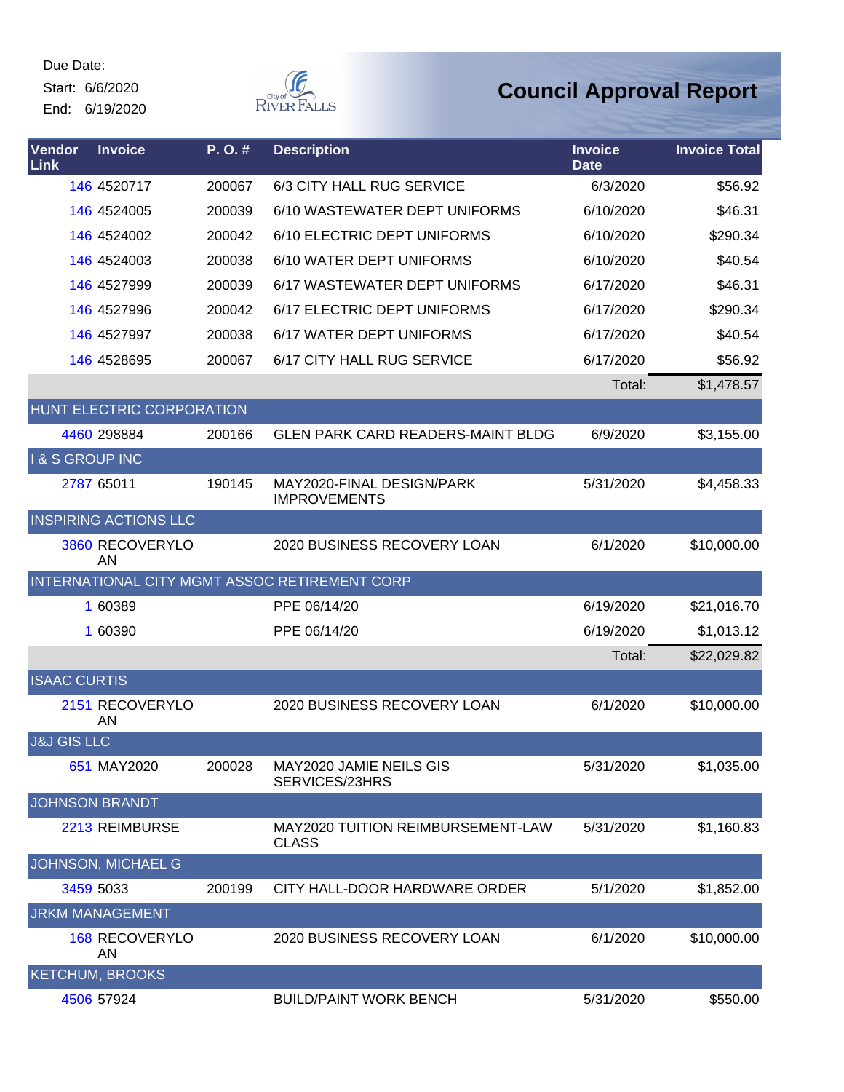Start: 6/6/2020 End: 6/19/2020  $\begin{picture}(120,110) \put(0,0){\line(1,0){150}} \put(15,0){\line(1,0){150}} \put(15,0){\line(1,0){150}} \put(15,0){\line(1,0){150}} \put(15,0){\line(1,0){150}} \put(15,0){\line(1,0){150}} \put(15,0){\line(1,0){150}} \put(15,0){\line(1,0){150}} \put(15,0){\line(1,0){150}} \put(15,0){\line(1,0){150}} \put(15,0){\line(1,0){150$ 

| Vendor<br>Link             | <b>Invoice</b>               | P.O.#  | <b>Description</b>                                       | <b>Invoice</b><br><b>Date</b> | <b>Invoice Total</b> |
|----------------------------|------------------------------|--------|----------------------------------------------------------|-------------------------------|----------------------|
|                            | 146 4520717                  | 200067 | 6/3 CITY HALL RUG SERVICE                                | 6/3/2020                      | \$56.92              |
|                            | 146 4524005                  | 200039 | 6/10 WASTEWATER DEPT UNIFORMS                            | 6/10/2020                     | \$46.31              |
|                            | 146 4524002                  | 200042 | 6/10 ELECTRIC DEPT UNIFORMS                              | 6/10/2020                     | \$290.34             |
|                            | 146 4524003                  | 200038 | 6/10 WATER DEPT UNIFORMS                                 | 6/10/2020                     | \$40.54              |
|                            | 146 4527999                  | 200039 | 6/17 WASTEWATER DEPT UNIFORMS                            | 6/17/2020                     | \$46.31              |
|                            | 146 4527996                  | 200042 | 6/17 ELECTRIC DEPT UNIFORMS                              | 6/17/2020                     | \$290.34             |
|                            | 146 4527997                  | 200038 | 6/17 WATER DEPT UNIFORMS                                 | 6/17/2020                     | \$40.54              |
|                            | 146 4528695                  | 200067 | 6/17 CITY HALL RUG SERVICE                               | 6/17/2020                     | \$56.92              |
|                            |                              |        |                                                          | Total:                        | \$1,478.57           |
|                            | HUNT ELECTRIC CORPORATION    |        |                                                          |                               |                      |
|                            | 4460 298884                  | 200166 | <b>GLEN PARK CARD READERS-MAINT BLDG</b>                 | 6/9/2020                      | \$3,155.00           |
| <b>I &amp; S GROUP INC</b> |                              |        |                                                          |                               |                      |
|                            | 2787 65011                   | 190145 | MAY2020-FINAL DESIGN/PARK<br><b>IMPROVEMENTS</b>         | 5/31/2020                     | \$4,458.33           |
|                            | <b>INSPIRING ACTIONS LLC</b> |        |                                                          |                               |                      |
|                            | 3860 RECOVERYLO<br><b>AN</b> |        | 2020 BUSINESS RECOVERY LOAN                              | 6/1/2020                      | \$10,000.00          |
|                            |                              |        | INTERNATIONAL CITY MGMT ASSOC RETIREMENT CORP            |                               |                      |
|                            | 1 60389                      |        | PPE 06/14/20                                             | 6/19/2020                     | \$21,016.70          |
|                            | 1 60390                      |        | PPE 06/14/20                                             | 6/19/2020                     | \$1,013.12           |
|                            |                              |        |                                                          | Total:                        | \$22,029.82          |
| <b>ISAAC CURTIS</b>        |                              |        |                                                          |                               |                      |
|                            | 2151 RECOVERYLO<br>AN        |        | 2020 BUSINESS RECOVERY LOAN                              | 6/1/2020                      | \$10,000.00          |
| <b>J&amp;J GIS LLC</b>     |                              |        |                                                          |                               |                      |
|                            | 651 MAY2020                  | 200028 | MAY2020 JAMIE NEILS GIS<br>SERVICES/23HRS                | 5/31/2020                     | \$1,035.00           |
|                            | <b>JOHNSON BRANDT</b>        |        |                                                          |                               |                      |
|                            | 2213 REIMBURSE               |        | <b>MAY2020 TUITION REIMBURSEMENT-LAW</b><br><b>CLASS</b> | 5/31/2020                     | \$1,160.83           |
|                            | JOHNSON, MICHAEL G           |        |                                                          |                               |                      |
|                            | 3459 5033                    | 200199 | CITY HALL-DOOR HARDWARE ORDER                            | 5/1/2020                      | \$1,852.00           |
|                            | <b>JRKM MANAGEMENT</b>       |        |                                                          |                               |                      |
|                            | <b>168 RECOVERYLO</b><br>AN  |        | 2020 BUSINESS RECOVERY LOAN                              | 6/1/2020                      | \$10,000.00          |
|                            | <b>KETCHUM, BROOKS</b>       |        |                                                          |                               |                      |
|                            | 4506 57924                   |        | <b>BUILD/PAINT WORK BENCH</b>                            | 5/31/2020                     | \$550.00             |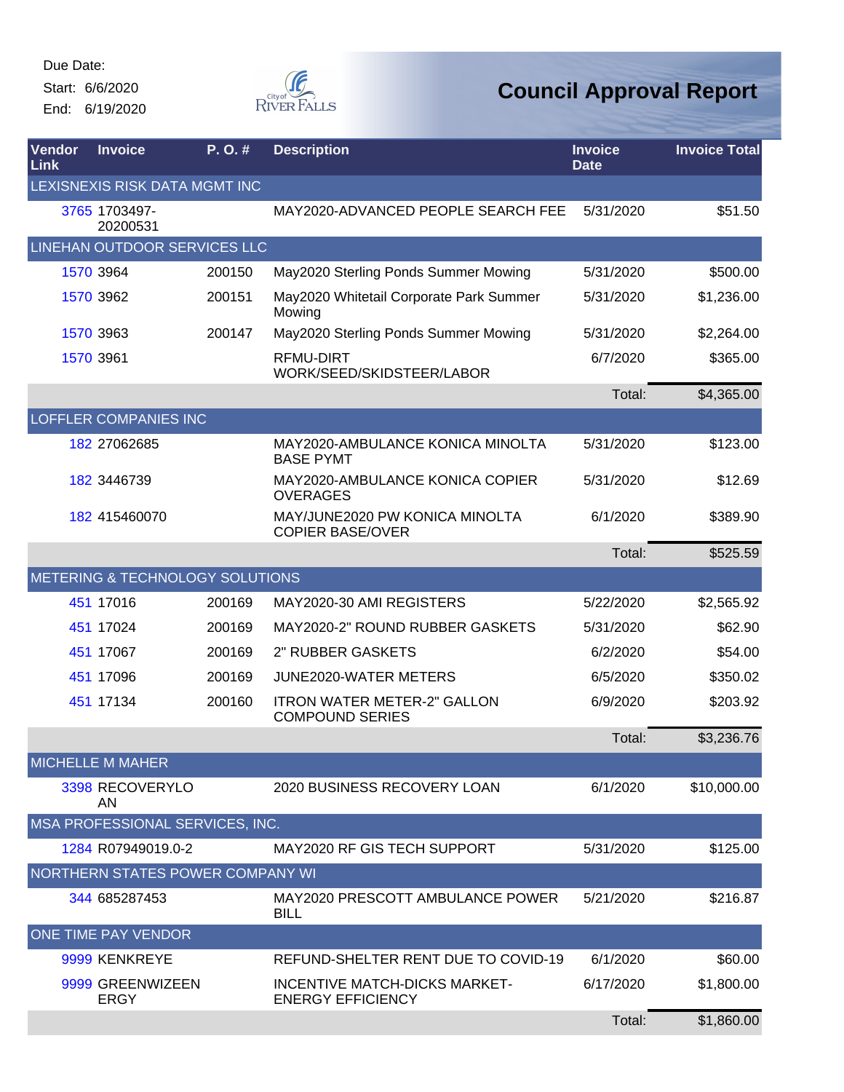Start: 6/6/2020 End: 6/19/2020



| Vendor<br>Link | <b>Invoice</b>                   | P.O.#  | <b>Description</b>                                               | <b>Invoice</b><br><b>Date</b> | <b>Invoice Total</b> |
|----------------|----------------------------------|--------|------------------------------------------------------------------|-------------------------------|----------------------|
|                | LEXISNEXIS RISK DATA MGMT INC    |        |                                                                  |                               |                      |
|                | 3765 1703497-<br>20200531        |        | MAY2020-ADVANCED PEOPLE SEARCH FEE                               | 5/31/2020                     | \$51.50              |
|                | LINEHAN OUTDOOR SERVICES LLC     |        |                                                                  |                               |                      |
|                | 1570 3964                        | 200150 | May2020 Sterling Ponds Summer Mowing                             | 5/31/2020                     | \$500.00             |
|                | 1570 3962                        | 200151 | May2020 Whitetail Corporate Park Summer<br>Mowing                | 5/31/2020                     | \$1,236.00           |
|                | 1570 3963                        | 200147 | May2020 Sterling Ponds Summer Mowing                             | 5/31/2020                     | \$2,264.00           |
|                | 1570 3961                        |        | RFMU-DIRT<br>WORK/SEED/SKIDSTEER/LABOR                           | 6/7/2020                      | \$365.00             |
|                |                                  |        |                                                                  | Total:                        | \$4,365.00           |
|                | <b>LOFFLER COMPANIES INC</b>     |        |                                                                  |                               |                      |
|                | 182 27062685                     |        | MAY2020-AMBULANCE KONICA MINOLTA<br><b>BASE PYMT</b>             | 5/31/2020                     | \$123.00             |
|                | 182 3446739                      |        | MAY2020-AMBULANCE KONICA COPIER<br><b>OVERAGES</b>               | 5/31/2020                     | \$12.69              |
|                | 182 415460070                    |        | MAY/JUNE2020 PW KONICA MINOLTA<br><b>COPIER BASE/OVER</b>        | 6/1/2020                      | \$389.90             |
|                |                                  |        |                                                                  | Total:                        | \$525.59             |
|                | METERING & TECHNOLOGY SOLUTIONS  |        |                                                                  |                               |                      |
|                | 451 17016                        | 200169 | MAY2020-30 AMI REGISTERS                                         | 5/22/2020                     | \$2,565.92           |
|                | 451 17024                        | 200169 | MAY2020-2" ROUND RUBBER GASKETS                                  | 5/31/2020                     | \$62.90              |
|                | 451 17067                        | 200169 | 2" RUBBER GASKETS                                                | 6/2/2020                      | \$54.00              |
|                | 451 17096                        | 200169 | JUNE2020-WATER METERS                                            | 6/5/2020                      | \$350.02             |
|                | 451 17134                        | 200160 | <b>ITRON WATER METER-2" GALLON</b><br><b>COMPOUND SERIES</b>     | 6/9/2020                      | \$203.92             |
|                |                                  |        |                                                                  | Total:                        | \$3,236.76           |
|                | <b>MICHELLE M MAHER</b>          |        |                                                                  |                               |                      |
|                | 3398 RECOVERYLO<br>AN            |        | 2020 BUSINESS RECOVERY LOAN                                      | 6/1/2020                      | \$10,000.00          |
|                | MSA PROFESSIONAL SERVICES, INC.  |        |                                                                  |                               |                      |
|                | 1284 R07949019.0-2               |        | MAY2020 RF GIS TECH SUPPORT                                      | 5/31/2020                     | \$125.00             |
|                | NORTHERN STATES POWER COMPANY WI |        |                                                                  |                               |                      |
|                | 344 685287453                    |        | MAY2020 PRESCOTT AMBULANCE POWER<br><b>BILL</b>                  | 5/21/2020                     | \$216.87             |
|                | ONE TIME PAY VENDOR              |        |                                                                  |                               |                      |
|                | 9999 KENKREYE                    |        | REFUND-SHELTER RENT DUE TO COVID-19                              | 6/1/2020                      | \$60.00              |
|                | 9999 GREENWIZEEN<br><b>ERGY</b>  |        | <b>INCENTIVE MATCH-DICKS MARKET-</b><br><b>ENERGY EFFICIENCY</b> | 6/17/2020                     | \$1,800.00           |
|                |                                  |        |                                                                  | Total:                        | \$1,860.00           |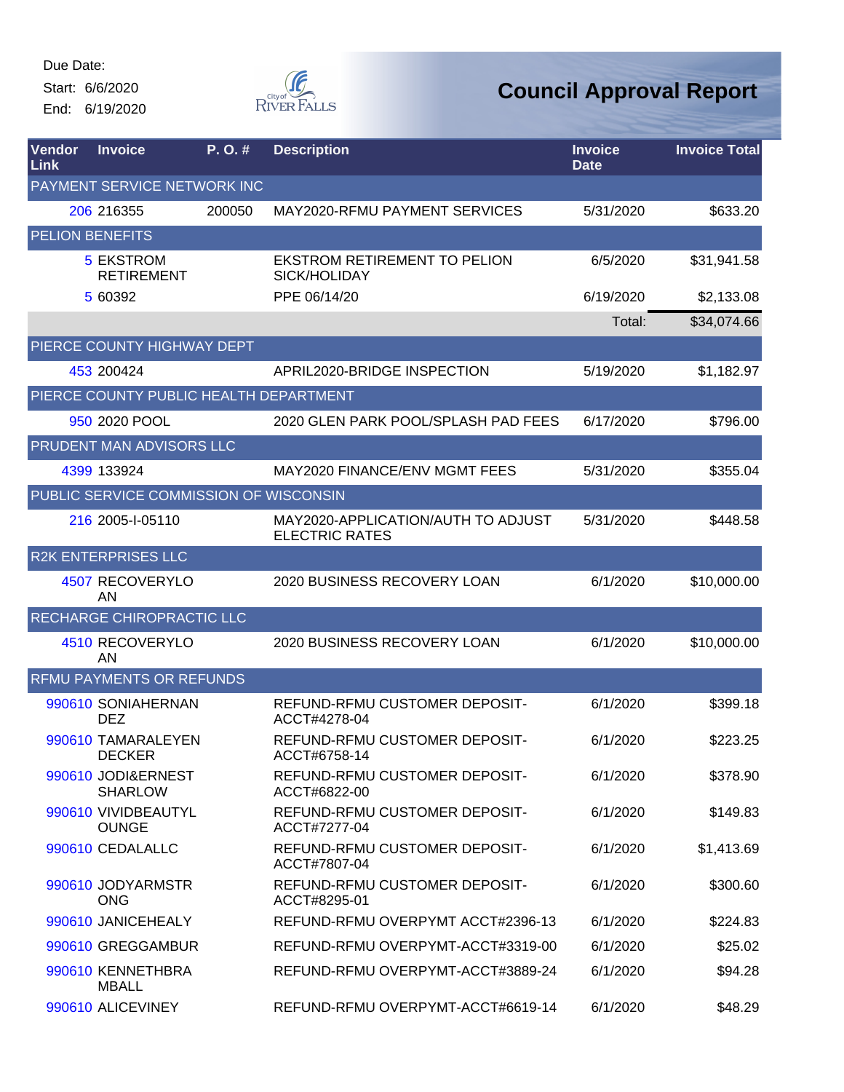Start: 6/6/2020

End: 6/19/2020



| Vendor<br>Link         | <b>Invoice</b>                         | P. O. # | <b>Description</b>                                          | <b>Invoice</b><br><b>Date</b> | <b>Invoice Total</b> |
|------------------------|----------------------------------------|---------|-------------------------------------------------------------|-------------------------------|----------------------|
|                        | PAYMENT SERVICE NETWORK INC            |         |                                                             |                               |                      |
|                        | 206 216355                             | 200050  | MAY2020-RFMU PAYMENT SERVICES                               | 5/31/2020                     | \$633.20             |
| <b>PELION BENEFITS</b> |                                        |         |                                                             |                               |                      |
|                        | <b>5 EKSTROM</b><br><b>RETIREMENT</b>  |         | <b>EKSTROM RETIREMENT TO PELION</b><br>SICK/HOLIDAY         | 6/5/2020                      | \$31,941.58          |
|                        | 5 60392                                |         | PPE 06/14/20                                                | 6/19/2020                     | \$2,133.08           |
|                        |                                        |         |                                                             | Total:                        | \$34,074.66          |
|                        | PIERCE COUNTY HIGHWAY DEPT             |         |                                                             |                               |                      |
|                        | 453 200424                             |         | APRIL2020-BRIDGE INSPECTION                                 | 5/19/2020                     | \$1,182.97           |
|                        | PIERCE COUNTY PUBLIC HEALTH DEPARTMENT |         |                                                             |                               |                      |
|                        | 950 2020 POOL                          |         | 2020 GLEN PARK POOL/SPLASH PAD FEES                         | 6/17/2020                     | \$796.00             |
|                        | PRUDENT MAN ADVISORS LLC               |         |                                                             |                               |                      |
|                        | 4399 133924                            |         | MAY2020 FINANCE/ENV MGMT FEES                               | 5/31/2020                     | \$355.04             |
|                        | PUBLIC SERVICE COMMISSION OF WISCONSIN |         |                                                             |                               |                      |
|                        | 216 2005-1-05110                       |         | MAY2020-APPLICATION/AUTH TO ADJUST<br><b>ELECTRIC RATES</b> | 5/31/2020                     | \$448.58             |
|                        | <b>R2K ENTERPRISES LLC</b>             |         |                                                             |                               |                      |
|                        | 4507 RECOVERYLO<br>AN                  |         | 2020 BUSINESS RECOVERY LOAN                                 | 6/1/2020                      | \$10,000.00          |
|                        | RECHARGE CHIROPRACTIC LLC              |         |                                                             |                               |                      |
|                        | 4510 RECOVERYLO<br>AN                  |         | 2020 BUSINESS RECOVERY LOAN                                 | 6/1/2020                      | \$10,000.00          |
|                        | <b>RFMU PAYMENTS OR REFUNDS</b>        |         |                                                             |                               |                      |
|                        | 990610 SONIAHERNAN<br><b>DEZ</b>       |         | REFUND-RFMU CUSTOMER DEPOSIT-<br>ACCT#4278-04               | 6/1/2020                      | \$399.18             |
|                        | 990610 TAMARALEYEN<br><b>DECKER</b>    |         | REFUND-RFMU CUSTOMER DEPOSIT-<br>ACCT#6758-14               | 6/1/2020                      | \$223.25             |
|                        | 990610 JODI&ERNEST<br><b>SHARLOW</b>   |         | REFUND-RFMU CUSTOMER DEPOSIT-<br>ACCT#6822-00               | 6/1/2020                      | \$378.90             |
|                        | 990610 VIVIDBEAUTYL<br><b>OUNGE</b>    |         | REFUND-RFMU CUSTOMER DEPOSIT-<br>ACCT#7277-04               | 6/1/2020                      | \$149.83             |
|                        | 990610 CEDALALLC                       |         | REFUND-RFMU CUSTOMER DEPOSIT-<br>ACCT#7807-04               | 6/1/2020                      | \$1,413.69           |
|                        | 990610 JODYARMSTR<br><b>ONG</b>        |         | REFUND-RFMU CUSTOMER DEPOSIT-<br>ACCT#8295-01               | 6/1/2020                      | \$300.60             |
|                        | 990610 JANICEHEALY                     |         | REFUND-RFMU OVERPYMT ACCT#2396-13                           | 6/1/2020                      | \$224.83             |
|                        | 990610 GREGGAMBUR                      |         | REFUND-RFMU OVERPYMT-ACCT#3319-00                           | 6/1/2020                      | \$25.02              |
|                        | 990610 KENNETHBRA<br><b>MBALL</b>      |         | REFUND-RFMU OVERPYMT-ACCT#3889-24                           | 6/1/2020                      | \$94.28              |
|                        | 990610 ALICEVINEY                      |         | REFUND-RFMU OVERPYMT-ACCT#6619-14                           | 6/1/2020                      | \$48.29              |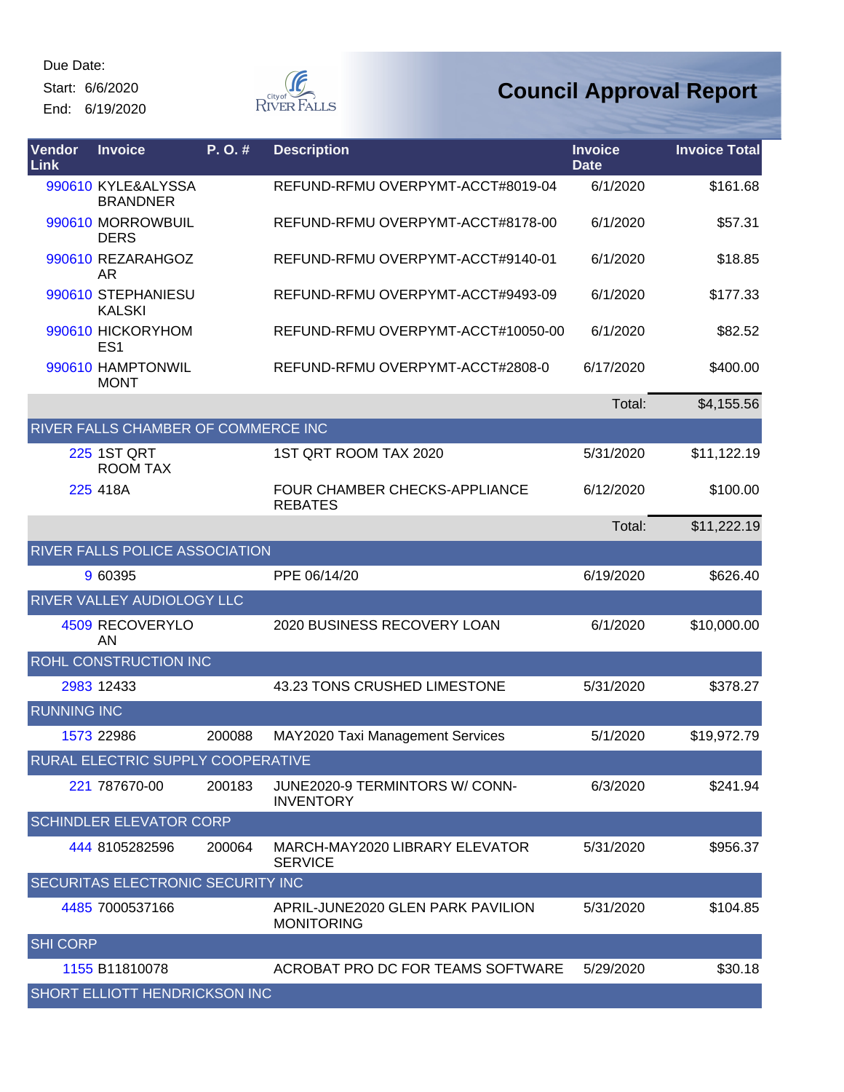Start: 6/6/2020

End: 6/19/2020



| Vendor<br><b>Link</b> | <b>Invoice</b>                             | P.O.#  | <b>Description</b>                                     | <b>Invoice</b><br><b>Date</b> | <b>Invoice Total</b> |
|-----------------------|--------------------------------------------|--------|--------------------------------------------------------|-------------------------------|----------------------|
|                       | 990610 KYLE&ALYSSA<br><b>BRANDNER</b>      |        | REFUND-RFMU OVERPYMT-ACCT#8019-04                      | 6/1/2020                      | \$161.68             |
|                       | 990610 MORROWBUIL<br><b>DERS</b>           |        | REFUND-RFMU OVERPYMT-ACCT#8178-00                      | 6/1/2020                      | \$57.31              |
|                       | 990610 REZARAHGOZ<br>AR.                   |        | REFUND-RFMU OVERPYMT-ACCT#9140-01                      | 6/1/2020                      | \$18.85              |
|                       | 990610 STEPHANIESU<br><b>KALSKI</b>        |        | REFUND-RFMU OVERPYMT-ACCT#9493-09                      | 6/1/2020                      | \$177.33             |
|                       | 990610 HICKORYHOM<br>ES <sub>1</sub>       |        | REFUND-RFMU OVERPYMT-ACCT#10050-00                     | 6/1/2020                      | \$82.52              |
|                       | 990610 HAMPTONWIL<br><b>MONT</b>           |        | REFUND-RFMU OVERPYMT-ACCT#2808-0                       | 6/17/2020                     | \$400.00             |
|                       |                                            |        |                                                        | Total:                        | \$4,155.56           |
|                       | <b>RIVER FALLS CHAMBER OF COMMERCE INC</b> |        |                                                        |                               |                      |
|                       | <b>225 1ST QRT</b><br><b>ROOM TAX</b>      |        | 1ST QRT ROOM TAX 2020                                  | 5/31/2020                     | \$11,122.19          |
|                       | 225 418A                                   |        | <b>FOUR CHAMBER CHECKS-APPLIANCE</b><br><b>REBATES</b> | 6/12/2020                     | \$100.00             |
|                       |                                            |        |                                                        | Total:                        | \$11,222.19          |
|                       | RIVER FALLS POLICE ASSOCIATION             |        |                                                        |                               |                      |
|                       | 9 60395                                    |        | PPE 06/14/20                                           | 6/19/2020                     | \$626.40             |
|                       | RIVER VALLEY AUDIOLOGY LLC                 |        |                                                        |                               |                      |
|                       | 4509 RECOVERYLO<br>AN                      |        | 2020 BUSINESS RECOVERY LOAN                            | 6/1/2020                      | \$10,000.00          |
|                       | <b>ROHL CONSTRUCTION INC</b>               |        |                                                        |                               |                      |
|                       | 2983 12433                                 |        | 43.23 TONS CRUSHED LIMESTONE                           | 5/31/2020                     | \$378.27             |
| <b>RUNNING INC</b>    |                                            |        |                                                        |                               |                      |
|                       | 1573 22986                                 | 200088 | MAY2020 Taxi Management Services                       | 5/1/2020                      | \$19,972.79          |
|                       | RURAL ELECTRIC SUPPLY COOPERATIVE          |        |                                                        |                               |                      |
|                       | 221 787670-00                              | 200183 | JUNE2020-9 TERMINTORS W/ CONN-<br><b>INVENTORY</b>     | 6/3/2020                      | \$241.94             |
|                       | <b>SCHINDLER ELEVATOR CORP</b>             |        |                                                        |                               |                      |
|                       | 444 8105282596                             | 200064 | MARCH-MAY2020 LIBRARY ELEVATOR<br><b>SERVICE</b>       | 5/31/2020                     | \$956.37             |
|                       | <b>SECURITAS ELECTRONIC SECURITY INC</b>   |        |                                                        |                               |                      |
|                       | 4485 7000537166                            |        | APRIL-JUNE2020 GLEN PARK PAVILION<br><b>MONITORING</b> | 5/31/2020                     | \$104.85             |
| <b>SHI CORP</b>       |                                            |        |                                                        |                               |                      |
|                       | 1155 B11810078                             |        | ACROBAT PRO DC FOR TEAMS SOFTWARE                      | 5/29/2020                     | \$30.18              |
|                       | <b>SHORT ELLIOTT HENDRICKSON INC</b>       |        |                                                        |                               |                      |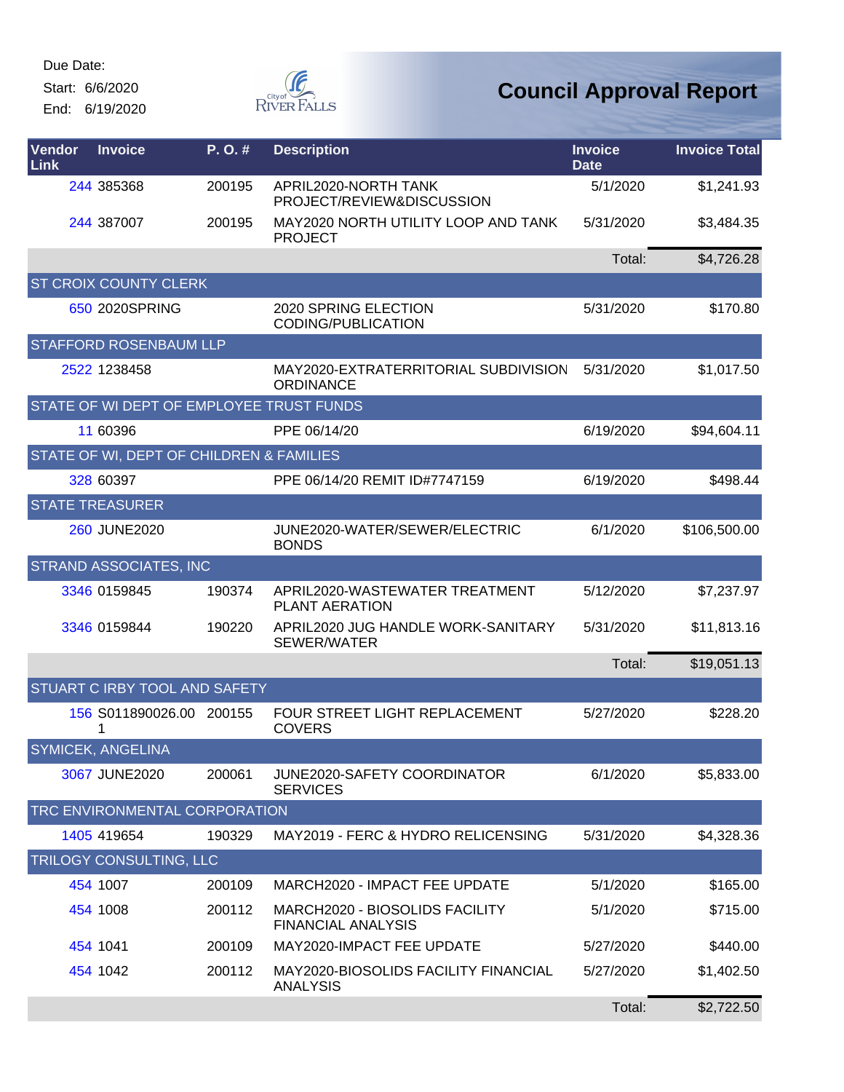Start: 6/6/2020

End: 6/19/2020



| Vendor<br>Link | <b>Invoice</b>                           | P.O.#  | <b>Description</b>                                          | <b>Invoice</b><br><b>Date</b> | <b>Invoice Total</b> |
|----------------|------------------------------------------|--------|-------------------------------------------------------------|-------------------------------|----------------------|
|                | 244 385368                               | 200195 | APRIL2020-NORTH TANK<br>PROJECT/REVIEW&DISCUSSION           | 5/1/2020                      | \$1,241.93           |
|                | 244 387007                               | 200195 | MAY2020 NORTH UTILITY LOOP AND TANK<br><b>PROJECT</b>       | 5/31/2020                     | \$3,484.35           |
|                |                                          |        |                                                             | Total:                        | \$4,726.28           |
|                | <b>ST CROIX COUNTY CLERK</b>             |        |                                                             |                               |                      |
|                | 650 2020SPRING                           |        | 2020 SPRING ELECTION<br><b>CODING/PUBLICATION</b>           | 5/31/2020                     | \$170.80             |
|                | STAFFORD ROSENBAUM LLP                   |        |                                                             |                               |                      |
|                | 2522 1238458                             |        | MAY2020-EXTRATERRITORIAL SUBDIVISION<br>ORDINANCE           | 5/31/2020                     | \$1,017.50           |
|                | STATE OF WI DEPT OF EMPLOYEE TRUST FUNDS |        |                                                             |                               |                      |
|                | 11 60396                                 |        | PPE 06/14/20                                                | 6/19/2020                     | \$94,604.11          |
|                | STATE OF WI, DEPT OF CHILDREN & FAMILIES |        |                                                             |                               |                      |
|                | 328 60397                                |        | PPE 06/14/20 REMIT ID#7747159                               | 6/19/2020                     | \$498.44             |
|                | <b>STATE TREASURER</b>                   |        |                                                             |                               |                      |
|                | 260 JUNE2020                             |        | JUNE2020-WATER/SEWER/ELECTRIC<br><b>BONDS</b>               | 6/1/2020                      | \$106,500.00         |
|                | <b>STRAND ASSOCIATES, INC</b>            |        |                                                             |                               |                      |
|                | 3346 0159845                             | 190374 | APRIL2020-WASTEWATER TREATMENT<br><b>PLANT AERATION</b>     | 5/12/2020                     | \$7,237.97           |
|                | 3346 0159844                             | 190220 | APRIL2020 JUG HANDLE WORK-SANITARY<br>SEWER/WATER           | 5/31/2020                     | \$11,813.16          |
|                |                                          |        |                                                             | Total:                        | \$19,051.13          |
|                | STUART C IRBY TOOL AND SAFETY            |        |                                                             |                               |                      |
|                | 156 S011890026.00 200155<br>1            |        | FOUR STREET LIGHT REPLACEMENT<br><b>COVERS</b>              | 5/27/2020                     | \$228.20             |
|                | <b>SYMICEK, ANGELINA</b>                 |        |                                                             |                               |                      |
|                | 3067 JUNE2020                            | 200061 | JUNE2020-SAFETY COORDINATOR<br><b>SERVICES</b>              | 6/1/2020                      | \$5,833.00           |
|                | <b>TRC ENVIRONMENTAL CORPORATION</b>     |        |                                                             |                               |                      |
|                | 1405 419654                              | 190329 | MAY2019 - FERC & HYDRO RELICENSING                          | 5/31/2020                     | \$4,328.36           |
|                | TRILOGY CONSULTING, LLC                  |        |                                                             |                               |                      |
|                | 454 1007                                 | 200109 | MARCH2020 - IMPACT FEE UPDATE                               | 5/1/2020                      | \$165.00             |
|                | 454 1008                                 | 200112 | MARCH2020 - BIOSOLIDS FACILITY<br><b>FINANCIAL ANALYSIS</b> | 5/1/2020                      | \$715.00             |
|                | 454 1041                                 | 200109 | MAY2020-IMPACT FEE UPDATE                                   | 5/27/2020                     | \$440.00             |
|                | 454 1042                                 | 200112 | MAY2020-BIOSOLIDS FACILITY FINANCIAL<br><b>ANALYSIS</b>     | 5/27/2020                     | \$1,402.50           |
|                |                                          |        |                                                             | Total:                        | \$2,722.50           |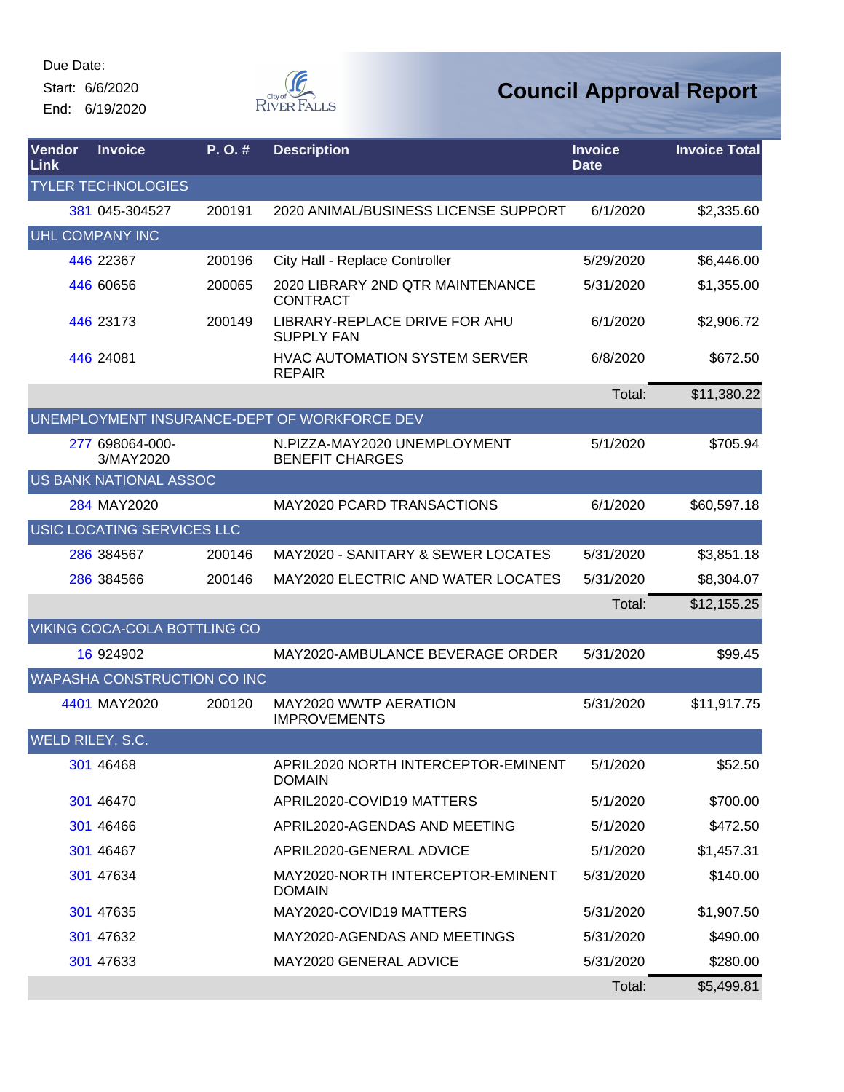Start: 6/6/2020

End: 6/19/2020



| <b>Vendor</b><br>Link | <b>Invoice</b>               | $P. O.$ # | <b>Description</b>                                     | <b>Invoice</b><br><b>Date</b> | <b>Invoice Total</b> |
|-----------------------|------------------------------|-----------|--------------------------------------------------------|-------------------------------|----------------------|
|                       | <b>TYLER TECHNOLOGIES</b>    |           |                                                        |                               |                      |
|                       | 381 045-304527               | 200191    | 2020 ANIMAL/BUSINESS LICENSE SUPPORT                   | 6/1/2020                      | \$2,335.60           |
|                       | <b>UHL COMPANY INC</b>       |           |                                                        |                               |                      |
|                       | 446 22367                    | 200196    | City Hall - Replace Controller                         | 5/29/2020                     | \$6,446.00           |
|                       | 446 60656                    | 200065    | 2020 LIBRARY 2ND QTR MAINTENANCE<br><b>CONTRACT</b>    | 5/31/2020                     | \$1,355.00           |
|                       | 446 23173                    | 200149    | LIBRARY-REPLACE DRIVE FOR AHU<br><b>SUPPLY FAN</b>     | 6/1/2020                      | \$2,906.72           |
|                       | 446 24081                    |           | <b>HVAC AUTOMATION SYSTEM SERVER</b><br><b>REPAIR</b>  | 6/8/2020                      | \$672.50             |
|                       |                              |           |                                                        | Total:                        | \$11,380.22          |
|                       |                              |           | UNEMPLOYMENT INSURANCE-DEPT OF WORKFORCE DEV           |                               |                      |
|                       | 277 698064-000-<br>3/MAY2020 |           | N.PIZZA-MAY2020 UNEMPLOYMENT<br><b>BENEFIT CHARGES</b> | 5/1/2020                      | \$705.94             |
|                       | US BANK NATIONAL ASSOC       |           |                                                        |                               |                      |
|                       | 284 MAY2020                  |           | <b>MAY2020 PCARD TRANSACTIONS</b>                      | 6/1/2020                      | \$60,597.18          |
|                       | USIC LOCATING SERVICES LLC   |           |                                                        |                               |                      |
|                       | 286 384567                   | 200146    | <b>MAY2020 - SANITARY &amp; SEWER LOCATES</b>          | 5/31/2020                     | \$3,851.18           |
|                       | 286 384566                   | 200146    | <b>MAY2020 ELECTRIC AND WATER LOCATES</b>              | 5/31/2020                     | \$8,304.07           |
|                       |                              |           |                                                        | Total:                        | \$12,155.25          |
|                       | VIKING COCA-COLA BOTTLING CO |           |                                                        |                               |                      |
|                       | 16 924902                    |           | MAY2020-AMBULANCE BEVERAGE ORDER                       | 5/31/2020                     | \$99.45              |
|                       | WAPASHA CONSTRUCTION CO INC  |           |                                                        |                               |                      |
|                       | 4401 MAY2020                 | 200120    | MAY2020 WWTP AERATION<br><b>IMPROVEMENTS</b>           | 5/31/2020                     | \$11,917.75          |
|                       | WELD RILEY, S.C.             |           |                                                        |                               |                      |
|                       | 301 46468                    |           | APRIL2020 NORTH INTERCEPTOR-EMINENT<br><b>DOMAIN</b>   | 5/1/2020                      | \$52.50              |
|                       | 301 46470                    |           | APRIL2020-COVID19 MATTERS                              | 5/1/2020                      | \$700.00             |
|                       | 301 46466                    |           | APRIL2020-AGENDAS AND MEETING                          | 5/1/2020                      | \$472.50             |
|                       | 301 46467                    |           | APRIL2020-GENERAL ADVICE                               | 5/1/2020                      | \$1,457.31           |
|                       | 301 47634                    |           | MAY2020-NORTH INTERCEPTOR-EMINENT<br><b>DOMAIN</b>     | 5/31/2020                     | \$140.00             |
|                       | 301 47635                    |           | MAY2020-COVID19 MATTERS                                | 5/31/2020                     | \$1,907.50           |
|                       | 301 47632                    |           | MAY2020-AGENDAS AND MEETINGS                           | 5/31/2020                     | \$490.00             |
|                       | 301 47633                    |           | MAY2020 GENERAL ADVICE                                 | 5/31/2020                     | \$280.00             |
|                       |                              |           |                                                        | Total:                        | \$5,499.81           |